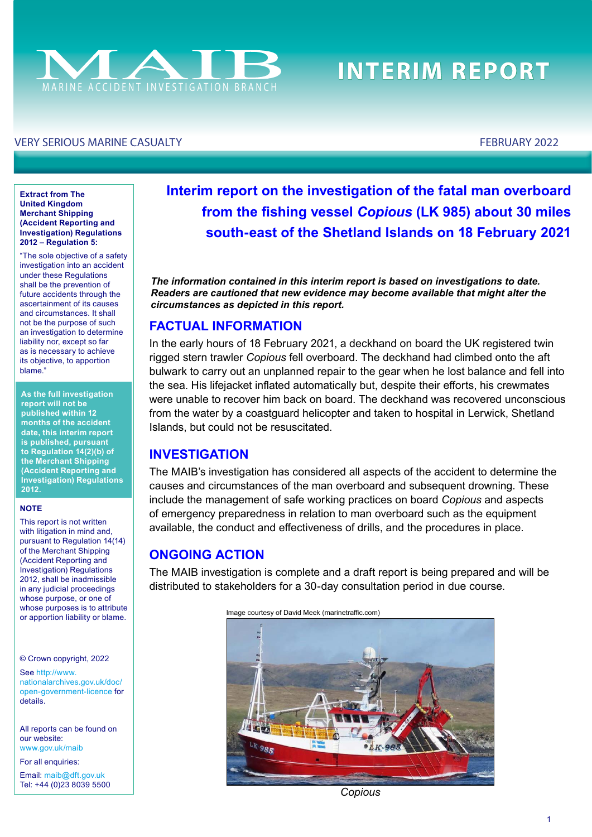

# **INTERIM REPORT**

#### VERY SERIOUS MARINE CASUALTY FEBRUARY 2022

**Extract from The United Kingdom Merchant Shipping (Accident Reporting and Investigation) Regulations 2012 – Regulation 5:**

"The sole objective of a safety investigation into an accident under these Regulations shall be the prevention of future accidents through the ascertainment of its causes and circumstances. It shall not be the purpose of such an investigation to determine liability nor, except so far as is necessary to achieve its objective, to apportion blame."

**As the full investigation report will not be published within 12 months of the accident date, this interim report is published, pursuant to Regulation 14(2)(b) of the Merchant Shipping (Accident Reporting and Investigation) Regulations 2012.**

#### **NOTE**

This report is not written with litigation in mind and, pursuant to Regulation 14(14) of the Merchant Shipping (Accident Reporting and Investigation) Regulations 2012, shall be inadmissible in any judicial proceedings whose purpose, or one of whose purposes is to attribute or apportion liability or blame.

© Crown copyright, 2022

See [http://www.](http://www.nationalarchives.gov.uk/doc/open-government-licence/) [nationalarchives.gov.uk/doc/](http://www.nationalarchives.gov.uk/doc/open-government-licence/) [open-government-licence](http://www.nationalarchives.gov.uk/doc/open-government-licence/) for details.

All reports can be found on our website: [www.gov.uk/maib](http://www.gov.uk/maib)

For all enquiries:

Email: [maib@dft.gov.uk](mailto:maib%40dft.gov.uk?subject=) Tel: +44 (0)23 8039 5500 **Interim report on the investigation of the fatal man overboard from the fshing vessel** *Copious* **(LK 985) about 30 miles south-east of the Shetland Islands on 18 February 2021**

*The information contained in this interim report is based on investigations to date. Readers are cautioned that new evidence may become available that might alter the circumstances as depicted in this report.*

#### **FACTUAL INFORMATION**

In the early hours of 18 February 2021, a deckhand on board the UK registered twin rigged stern trawler *Copious* fell overboard. The deckhand had climbed onto the aft bulwark to carry out an unplanned repair to the gear when he lost balance and fell into the sea. His lifejacket inflated automatically but, despite their efforts, his crewmates were unable to recover him back on board. The deckhand was recovered unconscious from the water by a coastguard helicopter and taken to hospital in Lerwick, Shetland Islands, but could not be resuscitated.

#### **INVESTIGATION**

The MAIB's investigation has considered all aspects of the accident to determine the causes and circumstances of the man overboard and subsequent drowning. These include the management of safe working practices on board *Copious* and aspects of emergency preparedness in relation to man overboard such as the equipment available, the conduct and efectiveness of drills, and the procedures in place.

### **ONGOING ACTION**

The MAIB investigation is complete and a draft report is being prepared and will be distributed to stakeholders for a 30-day consultation period in due course.



*Copious*